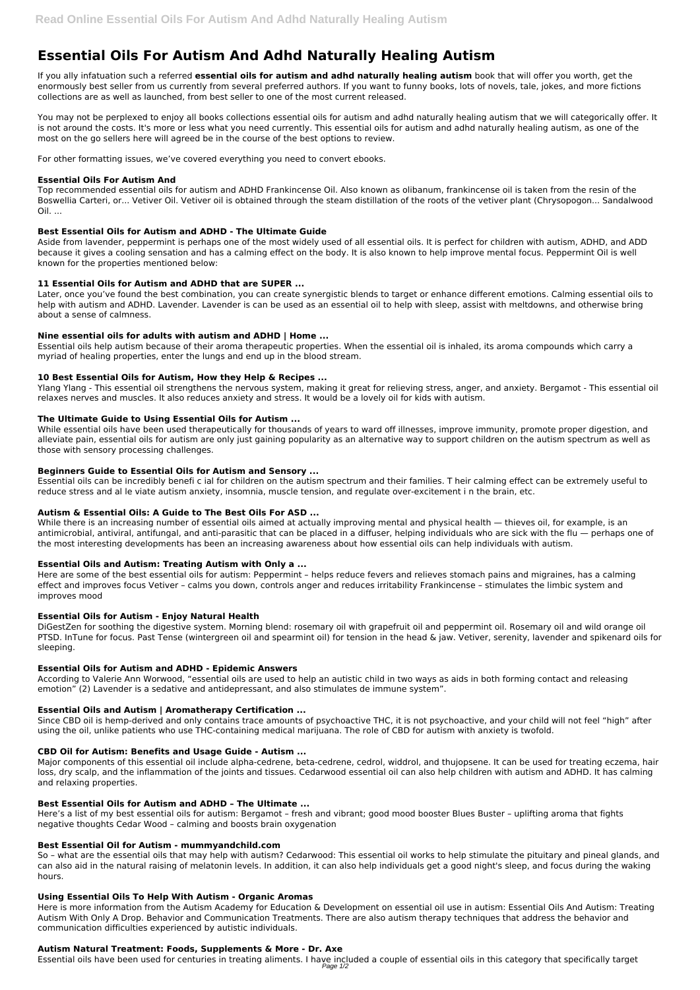# **Essential Oils For Autism And Adhd Naturally Healing Autism**

If you ally infatuation such a referred **essential oils for autism and adhd naturally healing autism** book that will offer you worth, get the enormously best seller from us currently from several preferred authors. If you want to funny books, lots of novels, tale, jokes, and more fictions collections are as well as launched, from best seller to one of the most current released.

You may not be perplexed to enjoy all books collections essential oils for autism and adhd naturally healing autism that we will categorically offer. It is not around the costs. It's more or less what you need currently. This essential oils for autism and adhd naturally healing autism, as one of the most on the go sellers here will agreed be in the course of the best options to review.

Top recommended essential oils for autism and ADHD Frankincense Oil. Also known as olibanum, frankincense oil is taken from the resin of the Boswellia Carteri, or... Vetiver Oil. Vetiver oil is obtained through the steam distillation of the roots of the vetiver plant (Chrysopogon... Sandalwood  $Oil.$ ...

For other formatting issues, we've covered everything you need to convert ebooks.

#### **Essential Oils For Autism And**

## **Best Essential Oils for Autism and ADHD - The Ultimate Guide**

Aside from lavender, peppermint is perhaps one of the most widely used of all essential oils. It is perfect for children with autism, ADHD, and ADD because it gives a cooling sensation and has a calming effect on the body. It is also known to help improve mental focus. Peppermint Oil is well known for the properties mentioned below:

## **11 Essential Oils for Autism and ADHD that are SUPER ...**

Later, once you've found the best combination, you can create synergistic blends to target or enhance different emotions. Calming essential oils to help with autism and ADHD. Lavender. Lavender is can be used as an essential oil to help with sleep, assist with meltdowns, and otherwise bring about a sense of calmness.

While there is an increasing number of essential oils aimed at actually improving mental and physical health — thieves oil, for example, is an antimicrobial, antiviral, antifungal, and anti-parasitic that can be placed in a diffuser, helping individuals who are sick with the flu — perhaps one of the most interesting developments has been an increasing awareness about how essential oils can help individuals with autism.

## **Nine essential oils for adults with autism and ADHD | Home ...**

Essential oils help autism because of their aroma therapeutic properties. When the essential oil is inhaled, its aroma compounds which carry a myriad of healing properties, enter the lungs and end up in the blood stream.

## **10 Best Essential Oils for Autism, How they Help & Recipes ...**

Ylang Ylang - This essential oil strengthens the nervous system, making it great for relieving stress, anger, and anxiety. Bergamot - This essential oil relaxes nerves and muscles. It also reduces anxiety and stress. It would be a lovely oil for kids with autism.

#### **The Ultimate Guide to Using Essential Oils for Autism ...**

While essential oils have been used therapeutically for thousands of years to ward off illnesses, improve immunity, promote proper digestion, and alleviate pain, essential oils for autism are only just gaining popularity as an alternative way to support children on the autism spectrum as well as those with sensory processing challenges.

#### **Beginners Guide to Essential Oils for Autism and Sensory ...**

Essential oils can be incredibly benefi c ial for children on the autism spectrum and their families. T heir calming effect can be extremely useful to reduce stress and al le viate autism anxiety, insomnia, muscle tension, and regulate over-excitement i n the brain, etc.

Here is more information from the Autism Academy for Education & Development on essential oil use in autism: Essential Oils And Autism: Treating Autism With Only A Drop. Behavior and Communication Treatments. There are also autism therapy techniques that address the behavior and communication difficulties experienced by autistic individuals.

# **Autism & Essential Oils: A Guide to The Best Oils For ASD ...**

#### **Essential Oils and Autism: Treating Autism with Only a ...**

Here are some of the best essential oils for autism: Peppermint – helps reduce fevers and relieves stomach pains and migraines, has a calming effect and improves focus Vetiver – calms you down, controls anger and reduces irritability Frankincense – stimulates the limbic system and improves mood

#### **Essential Oils for Autism - Enjoy Natural Health**

DiGestZen for soothing the digestive system. Morning blend: rosemary oil with grapefruit oil and peppermint oil. Rosemary oil and wild orange oil PTSD. InTune for focus. Past Tense (wintergreen oil and spearmint oil) for tension in the head & jaw. Vetiver, serenity, lavender and spikenard oils for sleeping.

#### **Essential Oils for Autism and ADHD - Epidemic Answers**

According to Valerie Ann Worwood, "essential oils are used to help an autistic child in two ways as aids in both forming contact and releasing emotion" (2) Lavender is a sedative and antidepressant, and also stimulates de immune system".

#### **Essential Oils and Autism | Aromatherapy Certification ...**

Since CBD oil is hemp-derived and only contains trace amounts of psychoactive THC, it is not psychoactive, and your child will not feel "high" after using the oil, unlike patients who use THC-containing medical marijuana. The role of CBD for autism with anxiety is twofold.

#### **CBD Oil for Autism: Benefits and Usage Guide - Autism ...**

Major components of this essential oil include alpha-cedrene, beta-cedrene, cedrol, widdrol, and thujopsene. It can be used for treating eczema, hair loss, dry scalp, and the inflammation of the joints and tissues. Cedarwood essential oil can also help children with autism and ADHD. It has calming and relaxing properties.

#### **Best Essential Oils for Autism and ADHD – The Ultimate ...**

Here's a list of my best essential oils for autism: Bergamot – fresh and vibrant; good mood booster Blues Buster – uplifting aroma that fights negative thoughts Cedar Wood – calming and boosts brain oxygenation

#### **Best Essential Oil for Autism - mummyandchild.com**

So – what are the essential oils that may help with autism? Cedarwood: This essential oil works to help stimulate the pituitary and pineal glands, and can also aid in the natural raising of melatonin levels. In addition, it can also help individuals get a good night's sleep, and focus during the waking hours.

#### **Using Essential Oils To Help With Autism - Organic Aromas**

#### **Autism Natural Treatment: Foods, Supplements & More - Dr. Axe**

Essential oils have been used for centuries in treating aliments. I have included a couple of essential oils in this category that specifically target Page 1/2